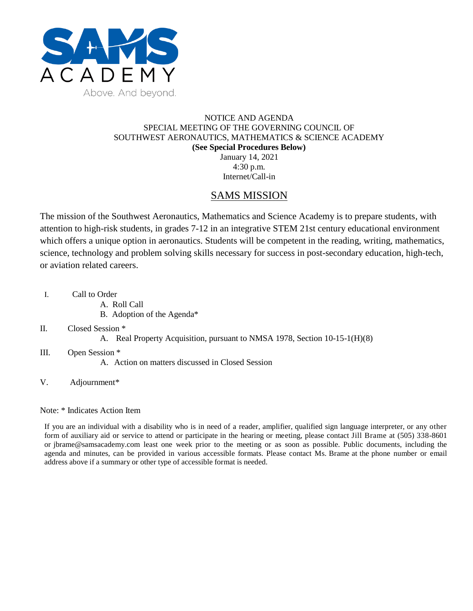

## NOTICE AND AGENDA SPECIAL MEETING OF THE GOVERNING COUNCIL OF SOUTHWEST AERONAUTICS, MATHEMATICS & SCIENCE ACADEMY **(See Special Procedures Below)** January 14, 2021

4:30 p.m. Internet/Call-in

## SAMS MISSION

The mission of the Southwest Aeronautics, Mathematics and Science Academy is to prepare students, with attention to high-risk students, in grades 7-12 in an integrative STEM 21st century educational environment which offers a unique option in aeronautics. Students will be competent in the reading, writing, mathematics, science, technology and problem solving skills necessary for success in post-secondary education, high-tech, or aviation related careers.

- I. Call to Order
	- A. Roll Call
	- B. Adoption of the Agenda\*
- II. Closed Session \*
	- A. Real Property Acquisition, pursuant to NMSA 1978, Section 10-15-1(H)(8)
- III. Open Session \*
	- A. Action on matters discussed in Closed Session
- V. Adjournment\*

Note: \* Indicates Action Item

If you are an individual with a disability who is in need of a reader, amplifier, qualified sign language interpreter, or any other form of auxiliary aid or service to attend or participate in the hearing or meeting, please contact Jill Brame at (505) 338-8601 or jbrame@samsacademy.com least one week prior to the meeting or as soon as possible. Public documents, including the agenda and minutes, can be provided in various accessible formats. Please contact Ms. Brame at the phone number or email address above if a summary or other type of accessible format is needed.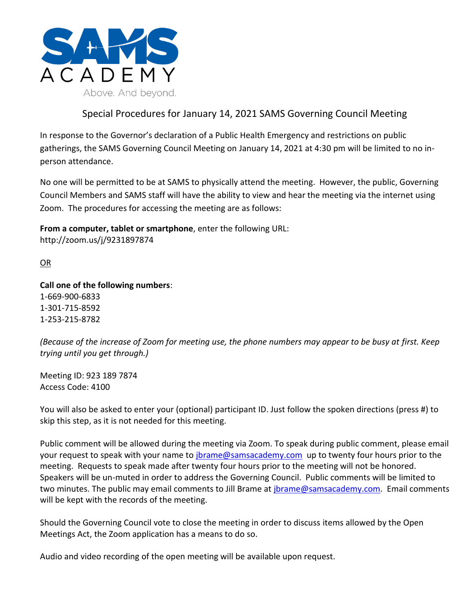

## Special Procedures for January 14, 2021 SAMS Governing Council Meeting

In response to the Governor's declaration of a Public Health Emergency and restrictions on public gatherings, the SAMS Governing Council Meeting on January 14, 2021 at 4:30 pm will be limited to no inperson attendance.

No one will be permitted to be at SAMS to physically attend the meeting. However, the public, Governing Council Members and SAMS staff will have the ability to view and hear the meeting via the internet using Zoom. The procedures for accessing the meeting are as follows:

**From a computer, tablet or smartphone**, enter the following URL: http://zoom.us/j/9231897874

OR

**Call one of the following numbers**: 1-669-900-6833 1-301-715-8592 1-253-215-8782

*(Because of the increase of Zoom for meeting use, the phone numbers may appear to be busy at first. Keep trying until you get through.)*

Meeting ID: 923 189 7874 Access Code: 4100

You will also be asked to enter your (optional) participant ID. Just follow the spoken directions (press #) to skip this step, as it is not needed for this meeting.

Public comment will be allowed during the meeting via Zoom. To speak during public comment, please email your request to speak with your name to [jbrame@samsacademy.com](mailto:jbrame@samsacademy.com) up to twenty four hours prior to the meeting. Requests to speak made after twenty four hours prior to the meeting will not be honored. Speakers will be un-muted in order to address the Governing Council. Public comments will be limited to two minutes. The public may email comments to Jill Brame at [jbrame@samsacademy.com.](mailto:jbrame@samsacademy.com) Email comments will be kept with the records of the meeting.

Should the Governing Council vote to close the meeting in order to discuss items allowed by the Open Meetings Act, the Zoom application has a means to do so.

Audio and video recording of the open meeting will be available upon request.